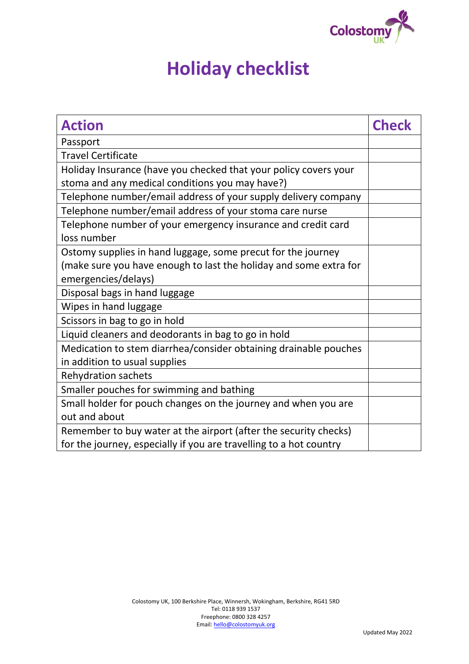

## **Holiday checklist**

| <b>Action</b>                                                      | <b>Check</b> |
|--------------------------------------------------------------------|--------------|
| Passport                                                           |              |
| <b>Travel Certificate</b>                                          |              |
| Holiday Insurance (have you checked that your policy covers your   |              |
| stoma and any medical conditions you may have?)                    |              |
| Telephone number/email address of your supply delivery company     |              |
| Telephone number/email address of your stoma care nurse            |              |
| Telephone number of your emergency insurance and credit card       |              |
| loss number                                                        |              |
| Ostomy supplies in hand luggage, some precut for the journey       |              |
| (make sure you have enough to last the holiday and some extra for  |              |
| emergencies/delays)                                                |              |
| Disposal bags in hand luggage                                      |              |
| Wipes in hand luggage                                              |              |
| Scissors in bag to go in hold                                      |              |
| Liquid cleaners and deodorants in bag to go in hold                |              |
| Medication to stem diarrhea/consider obtaining drainable pouches   |              |
| in addition to usual supplies                                      |              |
| <b>Rehydration sachets</b>                                         |              |
| Smaller pouches for swimming and bathing                           |              |
| Small holder for pouch changes on the journey and when you are     |              |
| out and about                                                      |              |
| Remember to buy water at the airport (after the security checks)   |              |
| for the journey, especially if you are travelling to a hot country |              |